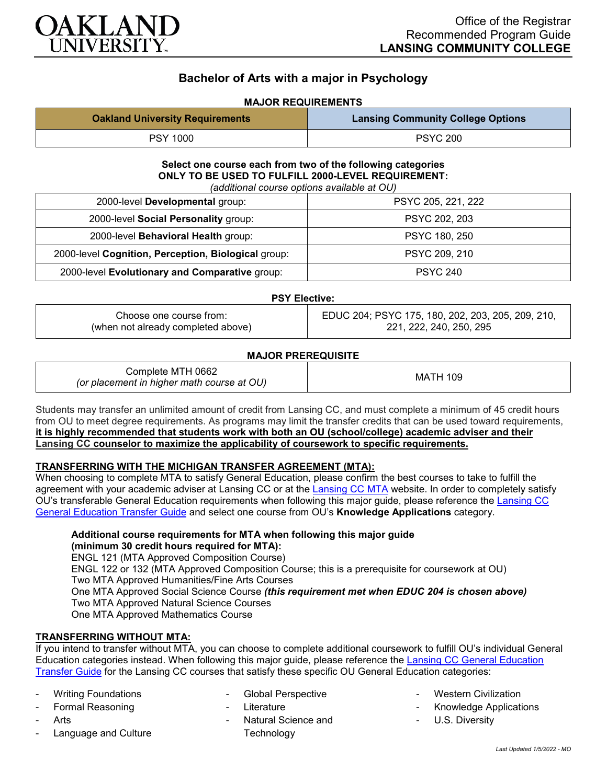

# **Bachelor of Arts with a major in Psychology**

# **MAJOR REQUIREMENTS**

| <b>Oakland University Requirements</b> | <b>Lansing Community College Options</b> |
|----------------------------------------|------------------------------------------|
| <b>PSY 1000</b>                        | <b>PSYC 200</b>                          |

#### **Select one course each from two of the following categories ONLY TO BE USED TO FULFILL 2000-LEVEL REQUIREMENT:** *(additional course options available at OU)*

| (additional course options available at OO)         |                    |  |
|-----------------------------------------------------|--------------------|--|
| 2000-level Developmental group:                     | PSYC 205, 221, 222 |  |
| 2000-level Social Personality group:                | PSYC 202, 203      |  |
| 2000-level Behavioral Health group:                 | PSYC 180, 250      |  |
| 2000-level Cognition, Perception, Biological group: | PSYC 209, 210      |  |
| 2000-level Evolutionary and Comparative group:      | <b>PSYC 240</b>    |  |

### **PSY Elective:**

| Choose one course from:            | EDUC 204; PSYC 175, 180, 202, 203, 205, 209, 210, |
|------------------------------------|---------------------------------------------------|
| (when not already completed above) | 221, 222, 240, 250, 295                           |

| <b>MAJOR PREREQUISITE</b> |  |
|---------------------------|--|
|                           |  |

| Complete MTH 0662<br>(or placement in higher math course at OU) | <b>MATH 109</b> |
|-----------------------------------------------------------------|-----------------|
|-----------------------------------------------------------------|-----------------|

Students may transfer an unlimited amount of credit from Lansing CC, and must complete a minimum of 45 credit hours from OU to meet degree requirements. As programs may limit the transfer credits that can be used toward requirements, **it is highly recommended that students work with both an OU (school/college) academic adviser and their Lansing CC counselor to maximize the applicability of coursework to specific requirements.**

### **TRANSFERRING WITH THE MICHIGAN TRANSFER AGREEMENT (MTA):**

When choosing to complete MTA to satisfy General Education, please confirm the best courses to take to fulfill the agreement with your academic adviser at Lansing CC or at the [Lansing CC MTA](https://www.lcc.edu/academics/transfer/mta.html) website. In order to completely satisfy OU's transferable General Education requirements when following this major guide, please reference the [Lansing CC](https://www.oakland.edu/Assets/Oakland/program-guides/lansing-community-college/university-general-education-requirements/Lansing%20Gen%20Ed.pdf)  [General Education Transfer Guide](https://www.oakland.edu/Assets/Oakland/program-guides/lansing-community-college/university-general-education-requirements/Lansing%20Gen%20Ed.pdf) and select one course from OU's **Knowledge Applications** category.

## **Additional course requirements for MTA when following this major guide (minimum 30 credit hours required for MTA):**

ENGL 121 (MTA Approved Composition Course) ENGL 122 or 132 (MTA Approved Composition Course; this is a prerequisite for coursework at OU) Two MTA Approved Humanities/Fine Arts Courses One MTA Approved Social Science Course *(this requirement met when EDUC 204 is chosen above)* Two MTA Approved Natural Science Courses One MTA Approved Mathematics Course

### **TRANSFERRING WITHOUT MTA:**

If you intend to transfer without MTA, you can choose to complete additional coursework to fulfill OU's individual General Education categories instead. When following this major guide, please reference the [Lansing CC General Education](https://www.oakland.edu/Assets/Oakland/program-guides/lansing-community-college/university-general-education-requirements/Lansing%20Gen%20Ed.pdf)  [Transfer Guide](https://www.oakland.edu/Assets/Oakland/program-guides/lansing-community-college/university-general-education-requirements/Lansing%20Gen%20Ed.pdf) for the Lansing CC courses that satisfy these specific OU General Education categories:

- Writing Foundations
- Formal Reasoning
- **Arts**
- Language and Culture
- Global Perspective
- Literature
- Natural Science and **Technology**
- Western Civilization
- Knowledge Applications
- U.S. Diversity